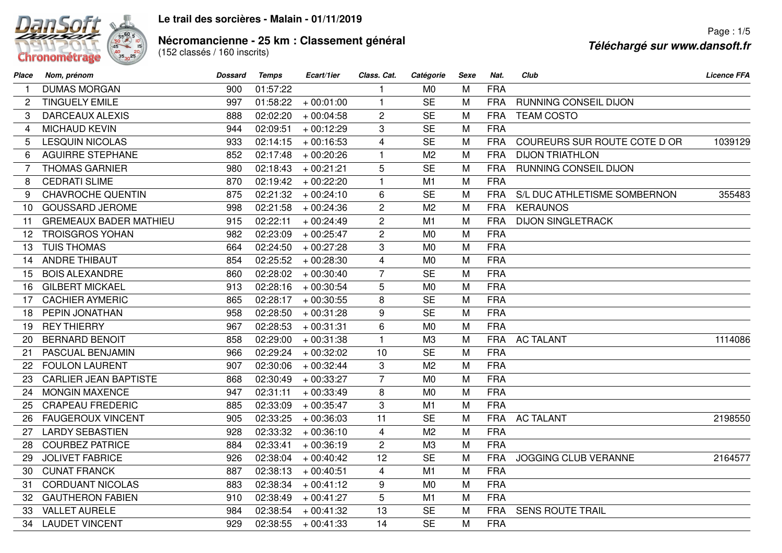

## **Le trail des sorcières - Malain - 01/11/2019**

## **Nécromancienne - 25 km : Classement général<br>(152 classés / 160 inscrits)**

| Place           | Nom, prénom                   | <b>Dossard</b> | <b>Temps</b> | Ecart/1ier            | Class. Cat.    | Catégorie      | Sexe | Nat.       | Club                         | <b>Licence FFA</b> |
|-----------------|-------------------------------|----------------|--------------|-----------------------|----------------|----------------|------|------------|------------------------------|--------------------|
|                 | <b>DUMAS MORGAN</b>           | 900            | 01:57:22     |                       | 1              | M <sub>0</sub> | M    | <b>FRA</b> |                              |                    |
| 2               | <b>TINGUELY EMILE</b>         | 997            | 01:58:22     | $+00:01:00$           | $\mathbf{1}$   | <b>SE</b>      | M    | <b>FRA</b> | RUNNING CONSEIL DIJON        |                    |
| 3               | <b>DARCEAUX ALEXIS</b>        | 888            | 02:02:20     | $+00:04:58$           | $\overline{c}$ | <b>SE</b>      | M    | <b>FRA</b> | <b>TEAM COSTO</b>            |                    |
| 4               | <b>MICHAUD KEVIN</b>          | 944            | 02:09:51     | $+00:12:29$           | 3              | <b>SE</b>      | M    | <b>FRA</b> |                              |                    |
| 5               | <b>LESQUIN NICOLAS</b>        | 933            | 02:14:15     | $+00:16:53$           | $\overline{4}$ | <b>SE</b>      | M    | <b>FRA</b> | COUREURS SUR ROUTE COTE D OR | 1039129            |
| 6               | <b>AGUIRRE STEPHANE</b>       | 852            | 02:17:48     | $+00:20:26$           | $\mathbf{1}$   | M <sub>2</sub> | M    | <b>FRA</b> | <b>DIJON TRIATHLON</b>       |                    |
| 7               | <b>THOMAS GARNIER</b>         | 980            | 02:18:43     | $+00:21:21$           | 5              | <b>SE</b>      | M    | <b>FRA</b> | RUNNING CONSEIL DIJON        |                    |
| 8               | <b>CEDRATI SLIME</b>          | 870            | 02:19:42     | $+00:22:20$           | $\mathbf{1}$   | M1             | M    | <b>FRA</b> |                              |                    |
| 9               | <b>CHAVROCHE QUENTIN</b>      | 875            | 02:21:32     | $+00:24:10$           | 6              | <b>SE</b>      | M    | <b>FRA</b> | S/L DUC ATHLETISME SOMBERNON | 355483             |
| 10              | <b>GOUSSARD JEROME</b>        | 998            | 02:21:58     | $+00:24:36$           | $\overline{2}$ | M <sub>2</sub> | M    | <b>FRA</b> | <b>KERAUNOS</b>              |                    |
| 11              | <b>GREMEAUX BADER MATHIEU</b> | 915            | 02:22:11     | $+00:24:49$           | $\overline{2}$ | M <sub>1</sub> | M    | <b>FRA</b> | <b>DIJON SINGLETRACK</b>     |                    |
| 12              | <b>TROISGROS YOHAN</b>        | 982            | 02:23:09     | $+00:25:47$           | $\overline{2}$ | M <sub>0</sub> | M    | <b>FRA</b> |                              |                    |
| 13              | <b>TUIS THOMAS</b>            | 664            | 02:24:50     | $+00:27:28$           | 3              | M <sub>0</sub> | M    | <b>FRA</b> |                              |                    |
| 14              | <b>ANDRE THIBAUT</b>          | 854            | 02:25:52     | $+00:28:30$           | $\overline{4}$ | M <sub>0</sub> | M    | <b>FRA</b> |                              |                    |
| 15              | <b>BOIS ALEXANDRE</b>         | 860            | 02:28:02     | $+00:30:40$           | $\overline{7}$ | <b>SE</b>      | M    | <b>FRA</b> |                              |                    |
| 16              | <b>GILBERT MICKAEL</b>        | 913            | 02:28:16     | $+00:30:54$           | 5              | M <sub>0</sub> | M    | <b>FRA</b> |                              |                    |
| 17              | <b>CACHIER AYMERIC</b>        | 865            | 02:28:17     | $+00:30:55$           | 8              | <b>SE</b>      | M    | <b>FRA</b> |                              |                    |
| 18              | PEPIN JONATHAN                | 958            | 02:28:50     | $+00:31:28$           | 9              | <b>SE</b>      | M    | <b>FRA</b> |                              |                    |
| 19              | <b>REY THIERRY</b>            | 967            | 02:28:53     | $+00:31:31$           | 6              | M <sub>0</sub> | M    | <b>FRA</b> |                              |                    |
| 20              | <b>BERNARD BENOIT</b>         | 858            | 02:29:00     | $+00:31:38$           | $\mathbf{1}$   | M3             | M    | <b>FRA</b> | <b>AC TALANT</b>             | 1114086            |
| 21              | PASCUAL BENJAMIN              | 966            | 02:29:24     | $+00:32:02$           | 10             | <b>SE</b>      | M    | <b>FRA</b> |                              |                    |
| 22 <sub>2</sub> | <b>FOULON LAURENT</b>         | 907            | 02:30:06     | $+00:32:44$           | 3              | M <sub>2</sub> | M    | <b>FRA</b> |                              |                    |
| 23              | <b>CARLIER JEAN BAPTISTE</b>  | 868            | 02:30:49     | $+00:33:27$           | $\overline{7}$ | M <sub>0</sub> | M    | <b>FRA</b> |                              |                    |
| 24              | <b>MONGIN MAXENCE</b>         | 947            | 02:31:11     | $+00:33:49$           | 8              | M <sub>0</sub> | M    | <b>FRA</b> |                              |                    |
| 25              | <b>CRAPEAU FREDERIC</b>       | 885            | 02:33:09     | $+00:35:47$           | 3              | M1             | M    | <b>FRA</b> |                              |                    |
| 26              | <b>FAUGEROUX VINCENT</b>      | 905            | 02:33:25     | $+00:36:03$           | 11             | <b>SE</b>      | M    | <b>FRA</b> | <b>AC TALANT</b>             | 2198550            |
| 27              | <b>LARDY SEBASTIEN</b>        | 928            | 02:33:32     | $+00:36:10$           | $\overline{4}$ | M <sub>2</sub> | M    | <b>FRA</b> |                              |                    |
| 28              | <b>COURBEZ PATRICE</b>        | 884            | 02:33:41     | $+00:36:19$           | $\overline{2}$ | M3             | M    | <b>FRA</b> |                              |                    |
| 29              | <b>JOLIVET FABRICE</b>        | 926            | 02:38:04     | $+00:40:42$           | 12             | <b>SE</b>      | M    | <b>FRA</b> | JOGGING CLUB VERANNE         | 2164577            |
| 30              | <b>CUNAT FRANCK</b>           | 887            | 02:38:13     | $+00:40:51$           | $\overline{4}$ | M1             | M    | <b>FRA</b> |                              |                    |
| 31              | <b>CORDUANT NICOLAS</b>       | 883            | 02:38:34     | $+00:41:12$           | 9              | M <sub>0</sub> | M    | <b>FRA</b> |                              |                    |
| 32              | <b>GAUTHERON FABIEN</b>       | 910            | 02:38:49     | $+00:41:27$           | 5              | M <sub>1</sub> | M    | <b>FRA</b> |                              |                    |
| 33              | <b>VALLET AURELE</b>          | 984            | 02:38:54     | $+00:41:32$           | 13             | <b>SE</b>      | M    | <b>FRA</b> | <b>SENS ROUTE TRAIL</b>      |                    |
| 34              | <b>LAUDET VINCENT</b>         | 929            |              | $02:38:55 + 00:41:33$ | 14             | <b>SE</b>      | M    | <b>FRA</b> |                              |                    |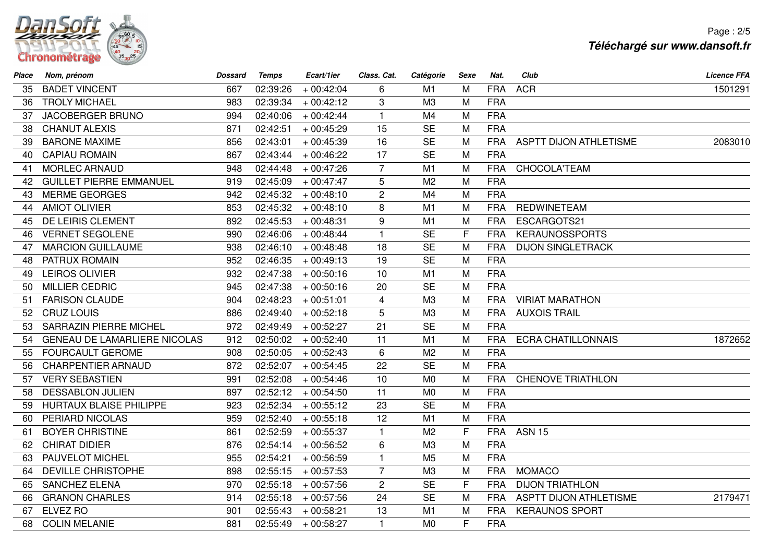

Page : 2/5**Téléchargé sur www.dansoft.fr**

| Place           | Nom, prénom                         | <b>Dossard</b> | <b>Temps</b> | Ecart/1ier  | Class. Cat.             | Catégorie      | Sexe         | Nat.       | Club                          | <b>Licence FFA</b> |
|-----------------|-------------------------------------|----------------|--------------|-------------|-------------------------|----------------|--------------|------------|-------------------------------|--------------------|
| 35              | <b>BADET VINCENT</b>                | 667            | 02:39:26     | $+00:42:04$ | 6                       | M1             | M            | <b>FRA</b> | <b>ACR</b>                    | 1501291            |
| 36              | <b>TROLY MICHAEL</b>                | 983            | 02:39:34     | $+00:42:12$ | 3                       | M <sub>3</sub> | M            | <b>FRA</b> |                               |                    |
| 37              | <b>JACOBERGER BRUNO</b>             | 994            | 02:40:06     | $+00:42:44$ | $\mathbf{1}$            | M4             | M            | <b>FRA</b> |                               |                    |
| 38              | <b>CHANUT ALEXIS</b>                | 871            | 02:42:51     | $+00:45:29$ | 15                      | <b>SE</b>      | M            | <b>FRA</b> |                               |                    |
| 39              | <b>BARONE MAXIME</b>                | 856            | 02:43:01     | $+00:45:39$ | 16                      | <b>SE</b>      | M            | <b>FRA</b> | <b>ASPTT DIJON ATHLETISME</b> | 2083010            |
| 40              | <b>CAPIAU ROMAIN</b>                | 867            | 02:43:44     | $+00:46:22$ | 17                      | <b>SE</b>      | M            | <b>FRA</b> |                               |                    |
| 41              | <b>MORLEC ARNAUD</b>                | 948            | 02:44:48     | $+00:47:26$ | $\overline{7}$          | M1             | M            | <b>FRA</b> | CHOCOLA'TEAM                  |                    |
| 42              | <b>GUILLET PIERRE EMMANUEL</b>      | 919            | 02:45:09     | $+00:47:47$ | 5                       | M <sub>2</sub> | M            | <b>FRA</b> |                               |                    |
| 43              | <b>MERME GEORGES</b>                | 942            | 02:45:32     | $+00:48:10$ | $\overline{2}$          | M4             | M            | <b>FRA</b> |                               |                    |
| 44              | <b>AMIOT OLIVIER</b>                | 853            | 02:45:32     | $+00:48:10$ | 8                       | M1             | M            | <b>FRA</b> | <b>REDWINETEAM</b>            |                    |
| 45              | DE LEIRIS CLEMENT                   | 892            | 02:45:53     | $+00:48:31$ | 9                       | M1             | M            | <b>FRA</b> | ESCARGOTS21                   |                    |
| 46              | <b>VERNET SEGOLENE</b>              | 990            | 02:46:06     | $+00:48:44$ | $\mathbf{1}$            | <b>SE</b>      | $\mathsf{F}$ | <b>FRA</b> | <b>KERAUNOSSPORTS</b>         |                    |
| 47              | <b>MARCION GUILLAUME</b>            | 938            | 02:46:10     | $+00:48:48$ | 18                      | <b>SE</b>      | M            | <b>FRA</b> | <b>DIJON SINGLETRACK</b>      |                    |
| 48              | PATRUX ROMAIN                       | 952            | 02:46:35     | $+00:49:13$ | 19                      | <b>SE</b>      | M            | <b>FRA</b> |                               |                    |
| 49              | <b>LEIROS OLIVIER</b>               | 932            | 02:47:38     | $+00:50:16$ | 10                      | M1             | M            | <b>FRA</b> |                               |                    |
| 50              | <b>MILLIER CEDRIC</b>               | 945            | 02:47:38     | $+00:50:16$ | 20                      | <b>SE</b>      | M            | <b>FRA</b> |                               |                    |
| 51              | <b>FARISON CLAUDE</b>               | 904            | 02:48:23     | $+00:51:01$ | $\overline{\mathbf{4}}$ | M <sub>3</sub> | M            | <b>FRA</b> | <b>VIRIAT MARATHON</b>        |                    |
| 52 <sub>2</sub> | <b>CRUZ LOUIS</b>                   | 886            | 02:49:40     | $+00:52:18$ | 5                       | M <sub>3</sub> | M            | <b>FRA</b> | <b>AUXOIS TRAIL</b>           |                    |
| 53              | <b>SARRAZIN PIERRE MICHEL</b>       | 972            | 02:49:49     | $+00:52:27$ | 21                      | <b>SE</b>      | M            | <b>FRA</b> |                               |                    |
| 54              | <b>GENEAU DE LAMARLIERE NICOLAS</b> | 912            | 02:50:02     | $+00:52:40$ | 11                      | M1             | M            | <b>FRA</b> | <b>ECRA CHATILLONNAIS</b>     | 1872652            |
| 55              | <b>FOURCAULT GEROME</b>             | 908            | 02:50:05     | $+00:52:43$ | 6                       | M <sub>2</sub> | M            | <b>FRA</b> |                               |                    |
| 56              | <b>CHARPENTIER ARNAUD</b>           | 872            | 02:52:07     | $+00:54:45$ | 22                      | <b>SE</b>      | M            | <b>FRA</b> |                               |                    |
| 57              | <b>VERY SEBASTIEN</b>               | 991            | 02:52:08     | $+00:54:46$ | 10                      | M <sub>0</sub> | M            | <b>FRA</b> | <b>CHENOVE TRIATHLON</b>      |                    |
| 58              | <b>DESSABLON JULIEN</b>             | 897            | 02:52:12     | $+00:54:50$ | 11                      | M <sub>0</sub> | M            | <b>FRA</b> |                               |                    |
| 59              | <b>HURTAUX BLAISE PHILIPPE</b>      | 923            | 02:52:34     | $+00:55:12$ | 23                      | <b>SE</b>      | M            | <b>FRA</b> |                               |                    |
| 60              | PERIARD NICOLAS                     | 959            | 02:52:40     | $+00:55:18$ | 12                      | M1             | M            | <b>FRA</b> |                               |                    |
| 61              | <b>BOYER CHRISTINE</b>              | 861            | 02:52:59     | $+00:55:37$ | $\mathbf{1}$            | M <sub>2</sub> | F            | <b>FRA</b> | <b>ASN 15</b>                 |                    |
| 62              | <b>CHIRAT DIDIER</b>                | 876            | 02:54:14     | $+00:56:52$ | 6                       | M <sub>3</sub> | M            | <b>FRA</b> |                               |                    |
| 63              | PAUVELOT MICHEL                     | 955            | 02:54:21     | $+00:56:59$ | $\mathbf{1}$            | M <sub>5</sub> | M            | <b>FRA</b> |                               |                    |
| 64              | <b>DEVILLE CHRISTOPHE</b>           | 898            | 02:55:15     | $+00:57:53$ | $\overline{7}$          | M3             | M            | <b>FRA</b> | <b>MOMACO</b>                 |                    |
| 65              | <b>SANCHEZ ELENA</b>                | 970            | 02:55:18     | $+00:57:56$ | $\overline{2}$          | <b>SE</b>      | F            | <b>FRA</b> | <b>DIJON TRIATHLON</b>        |                    |
| 66              | <b>GRANON CHARLES</b>               | 914            | 02:55:18     | $+00:57:56$ | 24                      | <b>SE</b>      | M            | <b>FRA</b> | <b>ASPTT DIJON ATHLETISME</b> | 2179471            |
| 67              | ELVEZ RO                            | 901            | 02:55:43     | $+00:58:21$ | 13                      | M1             | M            | <b>FRA</b> | <b>KERAUNOS SPORT</b>         |                    |
| 68              | <b>COLIN MELANIE</b>                | 881            | 02:55:49     | $+00:58:27$ | $\mathbf{1}$            | M <sub>0</sub> | F            | <b>FRA</b> |                               |                    |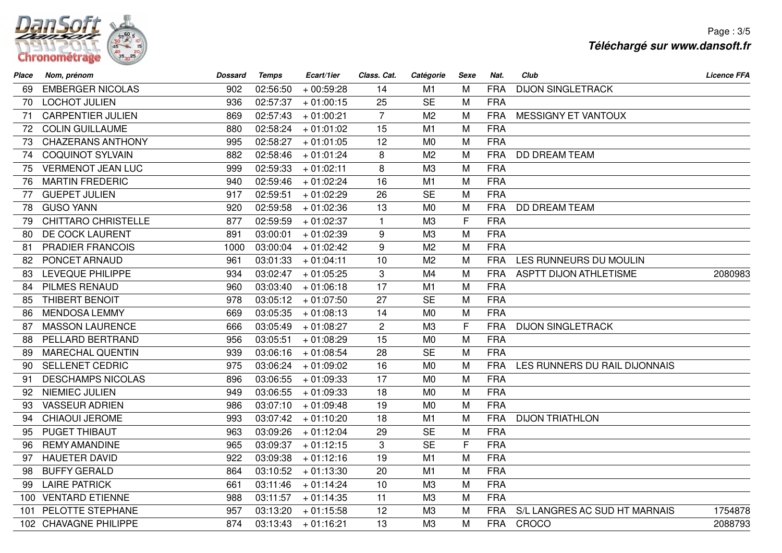

| Place | Nom, prénom                | <b>Dossard</b> | <b>Temps</b> | Ecart/1ier  | Class. Cat.    | Catégorie      | <b>Sexe</b> | Nat.       | Club                          | <b>Licence FFA</b> |
|-------|----------------------------|----------------|--------------|-------------|----------------|----------------|-------------|------------|-------------------------------|--------------------|
| 69    | <b>EMBERGER NICOLAS</b>    | 902            | 02:56:50     | $+00:59:28$ | 14             | M1             | M           | <b>FRA</b> | <b>DIJON SINGLETRACK</b>      |                    |
| 70    | <b>LOCHOT JULIEN</b>       | 936            | 02:57:37     | $+01:00:15$ | 25             | <b>SE</b>      | M           | <b>FRA</b> |                               |                    |
| 71    | <b>CARPENTIER JULIEN</b>   | 869            | 02:57:43     | $+01:00:21$ | $\overline{7}$ | M <sub>2</sub> | M           | <b>FRA</b> | <b>MESSIGNY ET VANTOUX</b>    |                    |
| 72    | <b>COLIN GUILLAUME</b>     | 880            | 02:58:24     | $+01:01:02$ | 15             | M1             | M           | <b>FRA</b> |                               |                    |
| 73    | <b>CHAZERANS ANTHONY</b>   | 995            | 02:58:27     | $+01:01:05$ | 12             | M <sub>0</sub> | M           | <b>FRA</b> |                               |                    |
| 74    | <b>COQUINOT SYLVAIN</b>    | 882            | 02:58:46     | $+01:01:24$ | 8              | M <sub>2</sub> | M           | <b>FRA</b> | <b>DD DREAM TEAM</b>          |                    |
| 75    | <b>VERMENOT JEAN LUC</b>   | 999            | 02:59:33     | $+01:02:11$ | 8              | M <sub>3</sub> | M           | <b>FRA</b> |                               |                    |
| 76    | <b>MARTIN FREDERIC</b>     | 940            | 02:59:46     | $+01:02:24$ | 16             | M1             | M           | <b>FRA</b> |                               |                    |
| 77    | <b>GUEPET JULIEN</b>       | 917            | 02:59:51     | $+01:02:29$ | 26             | <b>SE</b>      | M           | <b>FRA</b> |                               |                    |
| 78    | <b>GUSO YANN</b>           | 920            | 02:59:58     | $+01:02:36$ | 13             | M <sub>0</sub> | M           | <b>FRA</b> | <b>DD DREAM TEAM</b>          |                    |
| 79    | <b>CHITTARO CHRISTELLE</b> | 877            | 02:59:59     | $+01:02:37$ | $\mathbf{1}$   | M <sub>3</sub> | F           | <b>FRA</b> |                               |                    |
| 80    | DE COCK LAURENT            | 891            | 03:00:01     | $+01:02:39$ | 9              | M <sub>3</sub> | M           | <b>FRA</b> |                               |                    |
| 81    | <b>PRADIER FRANCOIS</b>    | 1000           | 03:00:04     | $+01:02:42$ | 9              | M <sub>2</sub> | M           | <b>FRA</b> |                               |                    |
| 82    | PONCET ARNAUD              | 961            | 03:01:33     | $+01:04:11$ | 10             | M <sub>2</sub> | M           | <b>FRA</b> | LES RUNNEURS DU MOULIN        |                    |
| 83    | LEVEQUE PHILIPPE           | 934            | 03:02:47     | $+01:05:25$ | 3              | M4             | M           | <b>FRA</b> | <b>ASPTT DIJON ATHLETISME</b> | 2080983            |
| 84    | <b>PILMES RENAUD</b>       | 960            | 03:03:40     | $+01:06:18$ | 17             | M1             | M           | <b>FRA</b> |                               |                    |
| 85    | <b>THIBERT BENOIT</b>      | 978            | 03:05:12     | $+01:07:50$ | 27             | <b>SE</b>      | M           | <b>FRA</b> |                               |                    |
| 86    | <b>MENDOSA LEMMY</b>       | 669            | 03:05:35     | $+01:08:13$ | 14             | M <sub>0</sub> | M           | <b>FRA</b> |                               |                    |
| 87    | <b>MASSON LAURENCE</b>     | 666            | 03:05:49     | $+01:08:27$ | 2              | M3             | F           | <b>FRA</b> | <b>DIJON SINGLETRACK</b>      |                    |
| 88    | PELLARD BERTRAND           | 956            | 03:05:51     | $+01:08:29$ | 15             | M <sub>0</sub> | M           | <b>FRA</b> |                               |                    |
| 89    | <b>MARECHAL QUENTIN</b>    | 939            | 03:06:16     | $+01:08:54$ | 28             | <b>SE</b>      | M           | <b>FRA</b> |                               |                    |
| 90    | <b>SELLENET CEDRIC</b>     | 975            | 03:06:24     | $+01:09:02$ | 16             | M <sub>0</sub> | M           | <b>FRA</b> | LES RUNNERS DU RAIL DIJONNAIS |                    |
| 91    | <b>DESCHAMPS NICOLAS</b>   | 896            | 03:06:55     | $+01:09:33$ | 17             | M <sub>0</sub> | M           | <b>FRA</b> |                               |                    |
| 92    | <b>NIEMIEC JULIEN</b>      | 949            | 03:06:55     | $+01:09:33$ | 18             | M <sub>0</sub> | M           | <b>FRA</b> |                               |                    |
| 93    | <b>VASSEUR ADRIEN</b>      | 986            | 03:07:10     | $+01:09:48$ | 19             | M <sub>0</sub> | M           | <b>FRA</b> |                               |                    |
| 94    | <b>CHIAOUI JEROME</b>      | 993            | 03:07:42     | $+01:10:20$ | 18             | M <sub>1</sub> | M           | <b>FRA</b> | <b>DIJON TRIATHLON</b>        |                    |
| 95    | PUGET THIBAUT              | 963            | 03:09:26     | $+01:12:04$ | 29             | <b>SE</b>      | M           | <b>FRA</b> |                               |                    |
| 96    | <b>REMY AMANDINE</b>       | 965            | 03:09:37     | $+01:12:15$ | 3              | <b>SE</b>      | F           | <b>FRA</b> |                               |                    |
| 97    | <b>HAUETER DAVID</b>       | 922            | 03:09:38     | $+01:12:16$ | 19             | M1             | M           | <b>FRA</b> |                               |                    |
| 98    | <b>BUFFY GERALD</b>        | 864            | 03:10:52     | $+01:13:30$ | 20             | M1             | M           | <b>FRA</b> |                               |                    |
| 99    | <b>LAIRE PATRICK</b>       | 661            | 03:11:46     | $+01:14:24$ | 10             | M3             | M           | <b>FRA</b> |                               |                    |
|       | 100 VENTARD ETIENNE        | 988            | 03:11:57     | $+01:14:35$ | 11             | M <sub>3</sub> | M           | <b>FRA</b> |                               |                    |
| 101   | PELOTTE STEPHANE           | 957            | 03:13:20     | $+01:15:58$ | 12             | M3             | M           | <b>FRA</b> | S/L LANGRES AC SUD HT MARNAIS | 1754878            |
|       | 102 CHAVAGNE PHILIPPE      | 874            | 03:13:43     | $+01:16:21$ | 13             | M <sub>3</sub> | M           | <b>FRA</b> | CROCO                         | 2088793            |
|       |                            |                |              |             |                |                |             |            |                               |                    |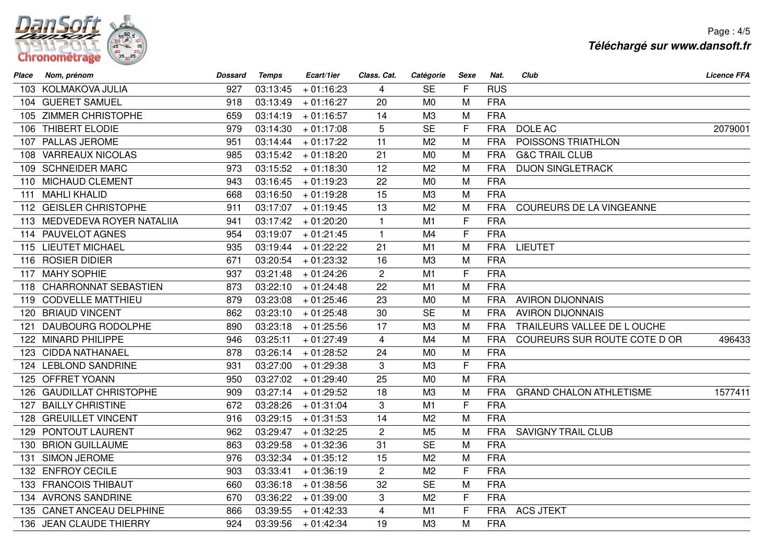

Page : 4/5**Téléchargé sur www.dansoft.fr**

| Place | Nom, prénom                  | <b>Dossard</b> | <b>Temps</b> | Ecart/1ier  | Class. Cat.    | Catégorie      | Sexe | Nat.       | Club                            | <b>Licence FFA</b> |
|-------|------------------------------|----------------|--------------|-------------|----------------|----------------|------|------------|---------------------------------|--------------------|
|       | 103 KOLMAKOVA JULIA          | 927            | 03:13:45     | $+01:16:23$ | 4              | <b>SE</b>      | F    | <b>RUS</b> |                                 |                    |
|       | 104 GUERET SAMUEL            | 918            | 03:13:49     | $+01:16:27$ | 20             | M <sub>0</sub> | M    | <b>FRA</b> |                                 |                    |
|       | 105 ZIMMER CHRISTOPHE        | 659            | 03:14:19     | $+01:16:57$ | 14             | M3             | M    | <b>FRA</b> |                                 |                    |
|       | 106 THIBERT ELODIE           | 979            | 03:14:30     | $+01:17:08$ | 5              | <b>SE</b>      | F    | <b>FRA</b> | DOLE AC                         | 2079001            |
|       | 107 PALLAS JEROME            | 951            | 03:14:44     | $+01:17:22$ | 11             | M <sub>2</sub> | M    | <b>FRA</b> | POISSONS TRIATHLON              |                    |
|       | 108 VARREAUX NICOLAS         | 985            | 03:15:42     | $+01:18:20$ | 21             | M <sub>0</sub> | M    | <b>FRA</b> | <b>G&amp;C TRAIL CLUB</b>       |                    |
|       | 109 SCHNEIDER MARC           | 973            | 03:15:52     | $+01:18:30$ | 12             | M <sub>2</sub> | M    | <b>FRA</b> | <b>DIJON SINGLETRACK</b>        |                    |
|       | 110 MICHAUD CLEMENT          | 943            | 03:16:45     | $+01:19:23$ | 22             | M <sub>0</sub> | M    | <b>FRA</b> |                                 |                    |
|       | 111 MAHLI KHALID             | 668            | 03:16:50     | $+01:19:28$ | 15             | M3             | M    | <b>FRA</b> |                                 |                    |
|       | 112 GEISLER CHRISTOPHE       | 911            | 03:17:07     | $+01:19:45$ | 13             | M <sub>2</sub> | M    | <b>FRA</b> | <b>COUREURS DE LA VINGEANNE</b> |                    |
|       | 113 MEDVEDEVA ROYER NATALIIA | 941            | 03:17:42     | $+01:20:20$ | $\mathbf{1}$   | M <sub>1</sub> | F    | <b>FRA</b> |                                 |                    |
|       | 114 PAUVELOT AGNES           | 954            | 03:19:07     | $+01:21:45$ | $\mathbf{1}$   | M <sub>4</sub> | F    | <b>FRA</b> |                                 |                    |
|       | 115 LIEUTET MICHAEL          | 935            | 03:19:44     | $+01:22:22$ | 21             | M1             | M    | <b>FRA</b> | <b>LIEUTET</b>                  |                    |
|       | 116 ROSIER DIDIER            | 671            | 03:20:54     | $+01:23:32$ | 16             | M3             | M    | <b>FRA</b> |                                 |                    |
|       | 117 MAHY SOPHIE              | 937            | 03:21:48     | $+01:24:26$ | $\overline{2}$ | M1             | F    | <b>FRA</b> |                                 |                    |
|       | 118 CHARRONNAT SEBASTIEN     | 873            | 03:22:10     | $+01:24:48$ | 22             | M1             | M    | <b>FRA</b> |                                 |                    |
|       | 119 CODVELLE MATTHIEU        | 879            | 03:23:08     | $+01:25:46$ | 23             | M <sub>0</sub> | M    | <b>FRA</b> | <b>AVIRON DIJONNAIS</b>         |                    |
|       | 120 BRIAUD VINCENT           | 862            | 03:23:10     | $+01:25:48$ | 30             | <b>SE</b>      | M    | <b>FRA</b> | <b>AVIRON DIJONNAIS</b>         |                    |
| 121   | <b>DAUBOURG RODOLPHE</b>     | 890            | 03:23:18     | $+01:25:56$ | 17             | M3             | M    | <b>FRA</b> | TRAILEURS VALLEE DE LOUCHE      |                    |
|       | 122 MINARD PHILIPPE          | 946            | 03:25:11     | $+01:27:49$ | 4              | M4             | M    | <b>FRA</b> | COUREURS SUR ROUTE COTE D OR    | 496433             |
|       | 123 CIDDA NATHANAEL          | 878            | 03:26:14     | $+01:28:52$ | 24             | M <sub>0</sub> | M    | <b>FRA</b> |                                 |                    |
|       | 124 LEBLOND SANDRINE         | 931            | 03:27:00     | $+01:29:38$ | 3              | M3             | F    | <b>FRA</b> |                                 |                    |
|       | 125 OFFRET YOANN             | 950            | 03:27:02     | $+01:29:40$ | 25             | M <sub>0</sub> | M    | <b>FRA</b> |                                 |                    |
|       | 126 GAUDILLAT CHRISTOPHE     | 909            | 03:27:14     | $+01:29:52$ | 18             | M3             | M    | <b>FRA</b> | <b>GRAND CHALON ATHLETISME</b>  | 1577411            |
|       | 127 BAILLY CHRISTINE         | 672            | 03:28:26     | $+01:31:04$ | 3              | M1             | F    | <b>FRA</b> |                                 |                    |
|       | 128 GREUILLET VINCENT        | 916            | 03:29:15     | $+01:31:53$ | 14             | M <sub>2</sub> | M    | <b>FRA</b> |                                 |                    |
|       | 129 PONTOUT LAURENT          | 962            | 03:29:47     | $+01:32:25$ | $\overline{2}$ | M <sub>5</sub> | M    | <b>FRA</b> | <b>SAVIGNY TRAIL CLUB</b>       |                    |
|       | 130 BRION GUILLAUME          | 863            | 03:29:58     | $+01:32:36$ | 31             | <b>SE</b>      | M    | <b>FRA</b> |                                 |                    |
|       | 131 SIMON JEROME             | 976            | 03:32:34     | $+01:35:12$ | 15             | M <sub>2</sub> | M    | <b>FRA</b> |                                 |                    |
|       | 132 ENFROY CECILE            | 903            | 03:33:41     | $+01:36:19$ | $\overline{2}$ | M <sub>2</sub> | F    | <b>FRA</b> |                                 |                    |
|       | 133 FRANCOIS THIBAUT         | 660            | 03:36:18     | $+01:38:56$ | 32             | <b>SE</b>      | M    | <b>FRA</b> |                                 |                    |
|       | 134 AVRONS SANDRINE          | 670            | 03:36:22     | $+01:39:00$ | 3              | M <sub>2</sub> | F    | <b>FRA</b> |                                 |                    |
|       | 135 CANET ANCEAU DELPHINE    | 866            | 03:39:55     | $+01:42:33$ | $\overline{4}$ | M1             | F    | <b>FRA</b> | <b>ACS JTEKT</b>                |                    |
|       | 136 JEAN CLAUDE THIERRY      | 924            | 03:39:56     | + 01:42:34  | 19             | M <sub>3</sub> | M    | <b>FRA</b> |                                 |                    |